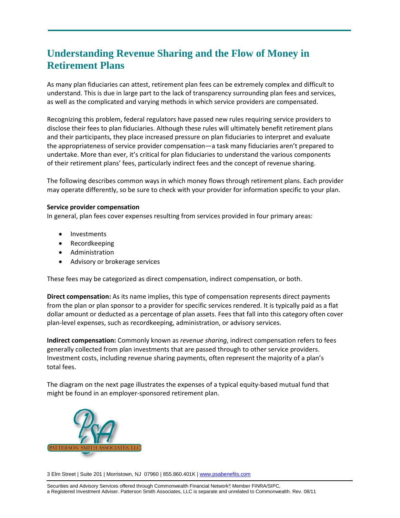# **Understanding Revenue Sharing and the Flow of Money in Retirement Plans**

As many plan fiduciaries can attest, retirement plan fees can be extremely complex and difficult to understand. This is due in large part to the lack of transparency surrounding plan fees and services, as well as the complicated and varying methods in which service providers are compensated.

Recognizing this problem, federal regulators have passed new rules requiring service providers to disclose their fees to plan fiduciaries. Although these rules will ultimately benefit retirement plans and their participants, they place increased pressure on plan fiduciaries to interpret and evaluate the appropriateness of service provider compensation—a task many fiduciaries aren't prepared to undertake. More than ever, it's critical for plan fiduciaries to understand the various components of their retirement plans' fees, particularly indirect fees and the concept of revenue sharing.

The following describes common ways in which money flows through retirement plans. Each provider may operate differently, so be sure to check with your provider for information specific to your plan.

## **Service provider compensation**

In general, plan fees cover expenses resulting from services provided in four primary areas:

- **Investments**
- Recordkeeping
- Administration
- Advisory or brokerage services

These fees may be categorized as direct compensation, indirect compensation, or both.

**Direct compensation:** As its name implies, this type of compensation represents direct payments from the plan or plan sponsor to a provider for specific services rendered. It is typically paid as a flat dollar amount or deducted as a percentage of plan assets. Fees that fall into this category often cover plan-level expenses, such as recordkeeping, administration, or advisory services.

**Indirect compensation:** Commonly known as *revenue sharing*, indirect compensation refers to fees generally collected from plan investments that are passed through to other service providers. Investment costs, including revenue sharing payments, often represent the majority of a plan's total fees.

The diagram on the next page illustrates the expenses of a typical equity-based mutual fund that might be found in an employer-sponsored retirement plan.



3 Elm Street | Suite 201 | Morristown, NJ 07960 | 855.860.401K | [www.psabenefits.com](http://www.psabenefits.com/)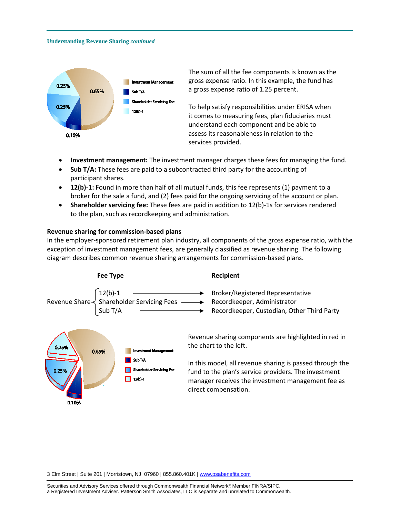#### **Understanding Revenue Sharing** *continued*



The sum of all the fee components is known as the gross expense ratio. In this example, the fund has a gross expense ratio of 1.25 percent.

To help satisfy responsibilities under ERISA when it comes to measuring fees, plan fiduciaries must understand each component and be able to assess its reasonableness in relation to the services provided.

- **Investment management:** The investment manager charges these fees for managing the fund.
- **Sub T/A:** These fees are paid to a subcontracted third party for the accounting of participant shares.
- **12(b)-1:** Found in more than half of all mutual funds, this fee represents (1) payment to a broker for the sale a fund, and (2) fees paid for the ongoing servicing of the account or plan.
- **Shareholder servicing fee:** These fees are paid in addition to 12(b)-1s for services rendered to the plan, such as recordkeeping and administration.

#### **Revenue sharing for commission-based plans**

In the employer-sponsored retirement plan industry, all components of the gross expense ratio, with the exception of investment management fees, are generally classified as revenue sharing. The following diagram describes common revenue sharing arrangements for commission-based plans.



3 Elm Street | Suite 201 | Morristown, NJ 07960 | 855.860.401K | [www.psabenefits.com](http://www.psabenefits.com/)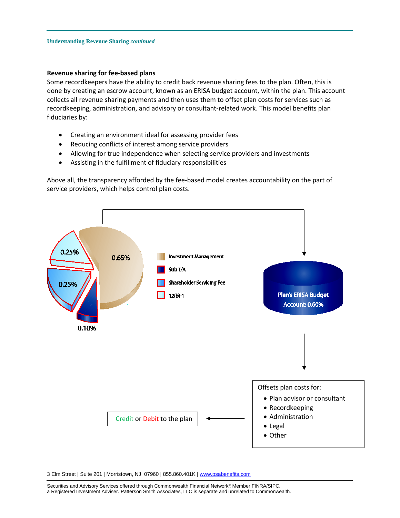### **Revenue sharing for fee-based plans**

Some recordkeepers have the ability to credit back revenue sharing fees to the plan. Often, this is done by creating an escrow account, known as an ERISA budget account, within the plan. This account collects all revenue sharing payments and then uses them to offset plan costs for services such as recordkeeping, administration, and advisory or consultant-related work. This model benefits plan fiduciaries by:

- Creating an environment ideal for assessing provider fees
- Reducing conflicts of interest among service providers
- Allowing for true independence when selecting service providers and investments
- Assisting in the fulfillment of fiduciary responsibilities

Above all, the transparency afforded by the fee-based model creates accountability on the part of service providers, which helps control plan costs.



3 Elm Street | Suite 201 | Morristown, NJ 07960 | 855.860.401K | [www.psabenefits.com](http://www.psabenefits.com/)

Securities and Advisory Services offered through Commonwealth Financial Network®, Member FINRA/SIPC, a Registered Investment Adviser. Patterson Smith Associates, LLC is separate and unrelated to Commonwealth.